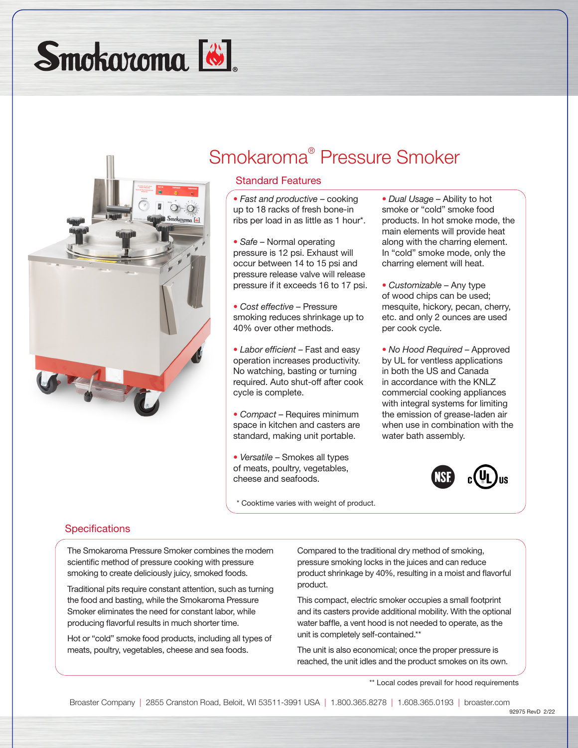Smokaroma<sup>[8]</sup>



# Smokaroma® Pressure Smoker

### Standard Features

- *Fast and productive* cooking up to 18 racks of fresh bone-in ribs per load in as little as 1 hour\*.
- *Safe* Normal operating pressure is 12 psi. Exhaust will occur between 14 to 15 psi and pressure release valve will release pressure if it exceeds 16 to 17 psi.
- *Cost effective* Pressure smoking reduces shrinkage up to 40% over other methods.
- *Labor efficient* Fast and easy operation increases productivity. No watching, basting or turning required. Auto shut-off after cook cycle is complete.
- *Compact* Requires minimum space in kitchen and casters are standard, making unit portable.
- *Versatile* Smokes all types of meats, poultry, vegetables, cheese and seafoods.

\* Cooktime varies with weight of product.

- *Dual Usage* Ability to hot smoke or "cold" smoke food products. In hot smoke mode, the main elements will provide heat along with the charring element. In "cold" smoke mode, only the charring element will heat.
- *Customizable* Any type of wood chips can be used; mesquite, hickory, pecan, cherry, etc. and only 2 ounces are used per cook cycle.
- *No Hood Required* Approved by UL for ventless applications in both the US and Canada in accordance with the KNLZ commercial cooking appliances with integral systems for limiting the emission of grease-laden air when use in combination with the water bath assembly.



#### **Specifications**

The Smokaroma Pressure Smoker combines the modern scientific method of pressure cooking with pressure smoking to create deliciously juicy, smoked foods.

Traditional pits require constant attention, such as turning the food and basting, while the Smokaroma Pressure Smoker eliminates the need for constant labor, while producing flavorful results in much shorter time.

Hot or "cold" smoke food products, including all types of meats, poultry, vegetables, cheese and sea foods.

Compared to the traditional dry method of smoking, pressure smoking locks in the juices and can reduce product shrinkage by 40%, resulting in a moist and flavorful product.

This compact, electric smoker occupies a small footprint and its casters provide additional mobility. With the optional water baffle, a vent hood is not needed to operate, as the unit is completely self-contained.\*\*

The unit is also economical; once the proper pressure is reached, the unit idles and the product smokes on its own.

\*\* Local codes prevail for hood requirements